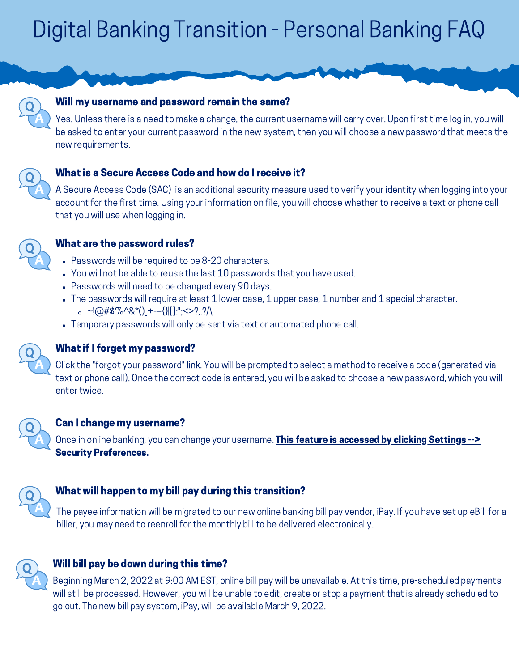# Digital Banking Transition - Personal Banking FAQ



#### Will my username and password remain the same?

Yes. Unless there is a need to make a change, the current username will carry over. Upon first time log in, you will be asked to enter your current password in the new system, then you will choose a new password that meets the new requirements.



#### What is a Secure Access Code and how do I receive it?

A Secure Access Code (SAC) is an additional security measure used to verify your identity when logging into your account for the first time. Using your information on file, you will choose whether to receive a text or phone call that you will use when logging in.



#### What are the password rules?

- Passwords will be required to be 8-20 characters.
- You will not be able to reuse the last 10 passwords that you have used.
- Passwords will need to be changed every 90 days.
- The passwords will require at least 1 lower case, 1 upper case, 1 number and 1 special character.  $\circ$  ~!@#\$%^&\*() +-={}|[]:";<>?,.?/\
- Temporary passwords will only be sent via text or automated phone call.



### What if I forget my password?

Click the "forgot your password" link. You will be prompted to select a method to receive a code (generated via text or phone call). Once the correct code is entered, you will be asked to choose a new password, which you will enter twice.



#### Can I change my username?

Once in online banking, you can change your username. This feature is accessed by clicking Settings --> **Security Preferences.** 



### What will happen to my bill pay during this transition?

The payee information will be migrated to our new online banking bill pay vendor, iPay. If you have set up eBill for a biller, you may need to reenroll for the monthly bill to be delivered electronically.



### Will bill pay be down during this time?

Beginning March 2, 2022 at 9:00 AM EST, online bill pay will be unavailable. At this time, pre-scheduled payments will still be processed. However, you will be unable to edit, create or stop a payment that is already scheduled to go out. The new bill pay system, iPay, will be available March 9, 2022.